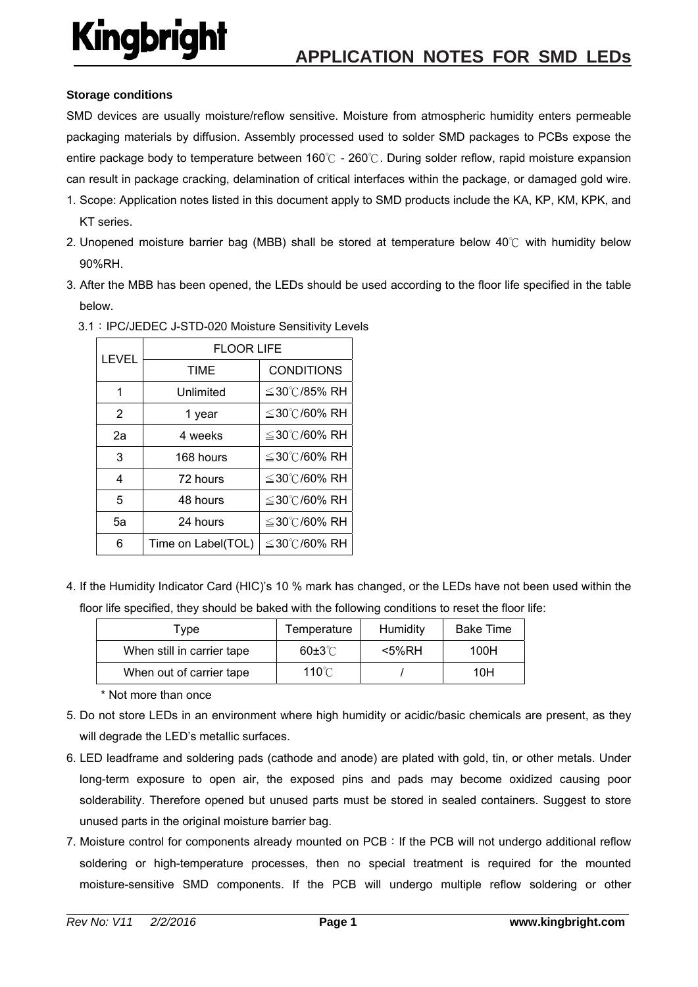### **Storage conditions**

SMD devices are usually moisture/reflow sensitive. Moisture from atmospheric humidity enters permeable packaging materials by diffusion. Assembly processed used to solder SMD packages to PCBs expose the entire package body to temperature between 160℃ - 260℃. During solder reflow, rapid moisture expansion can result in package cracking, delamination of critical interfaces within the package, or damaged gold wire.

- 1. Scope: Application notes listed in this document apply to SMD products include the KA, KP, KM, KPK, and KT series.
- 2. Unopened moisture barrier bag (MBB) shall be stored at temperature below 40℃ with humidity below 90%RH.
- 3. After the MBB has been opened, the LEDs should be used according to the floor life specified in the table below.

| LEVEL | <b>FLOOR LIFE</b>  |                   |
|-------|--------------------|-------------------|
|       | <b>TIME</b>        | <b>CONDITIONS</b> |
| 1     | Unlimited          | ≦30℃/85% RH       |
| 2     | 1 year             | ≦30℃/60% RH       |
| 2а    | 4 weeks            | ≦30℃/60% RH       |
| 3     | 168 hours          | ≦30℃/60% RH       |
| 4     | 72 hours           | ≦30℃/60% RH       |
| 5     | 48 hours           | ≦30℃/60% RH       |
| 5a    | 24 hours           | ≦30℃/60% RH       |
| 6     | Time on Label(TOL) | ≦30℃/60% RH       |

3.1:IPC/JEDEC J-STD-020 Moisture Sensitivity Levels

4. If the Humidity Indicator Card (HIC)'s 10 % mark has changed, or the LEDs have not been used within the floor life specified, they should be baked with the following conditions to reset the floor life:

| Type                       | Temperature        | Humidity | <b>Bake Time</b> |
|----------------------------|--------------------|----------|------------------|
| When still in carrier tape | $60 \pm 3^{\circ}$ | <5%RH    | 100H             |
| When out of carrier tape   | $110^{\circ}$ C    |          | 10H              |

\* Not more than once

- 5. Do not store LEDs in an environment where high humidity or acidic/basic chemicals are present, as they will degrade the LED's metallic surfaces.
- 6. LED leadframe and soldering pads (cathode and anode) are plated with gold, tin, or other metals. Under long-term exposure to open air, the exposed pins and pads may become oxidized causing poor solderability. Therefore opened but unused parts must be stored in sealed containers. Suggest to store unused parts in the original moisture barrier bag.
- 7. Moisture control for components already mounted on PCB:If the PCB will not undergo additional reflow soldering or high-temperature processes, then no special treatment is required for the mounted moisture-sensitive SMD components. If the PCB will undergo multiple reflow soldering or other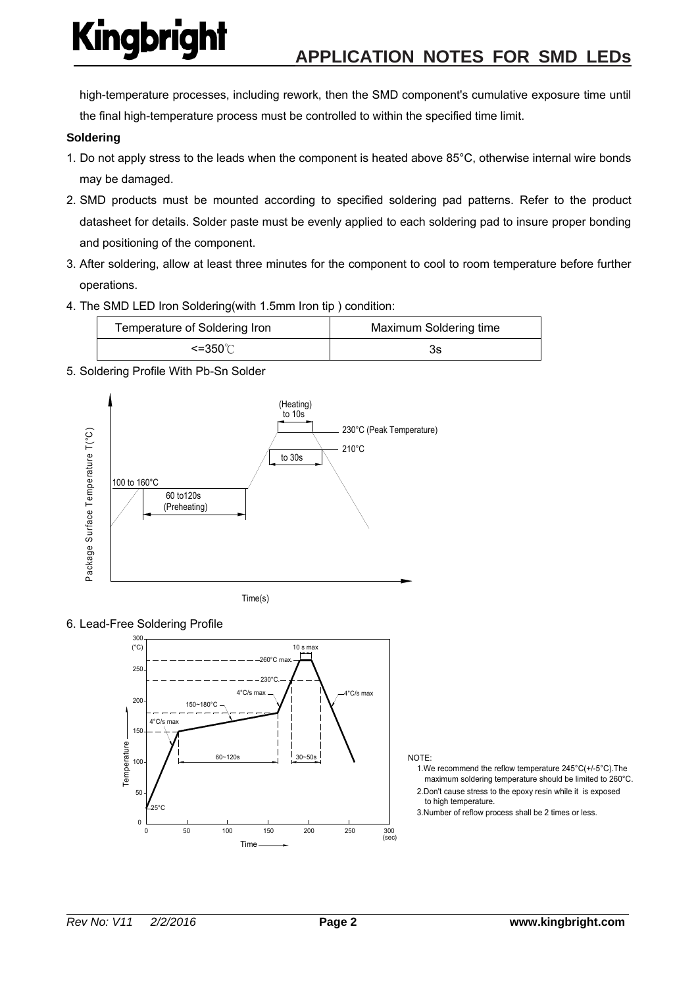high-temperature processes, including rework, then the SMD component's cumulative exposure time until the final high-temperature process must be controlled to within the specified time limit.

### **Soldering**

- 1. Do not apply stress to the leads when the component is heated above 85°C, otherwise internal wire bonds may be damaged.
- 2. SMD products must be mounted according to specified soldering pad patterns. Refer to the product datasheet for details. Solder paste must be evenly applied to each soldering pad to insure proper bonding and positioning of the component.
- 3. After soldering, allow at least three minutes for the component to cool to room temperature before further operations.
- 4. The SMD LED Iron Soldering(with 1.5mm Iron tip ) condition:

| Temperature of Soldering Iron | Maximum Soldering time |  |
|-------------------------------|------------------------|--|
| <=350℃                        | 3s                     |  |

5. Soldering Profile With Pb-Sn Solder







#### NOTE:

- maximum soldering temperature should be limited to 260°C. 1.We recommend the reflow temperature 245°C(+/-5°C).The
- to high temperature. 2.Don't cause stress to the epoxy resin while it is exposed
- 3.Number of reflow process shall be 2 times or less.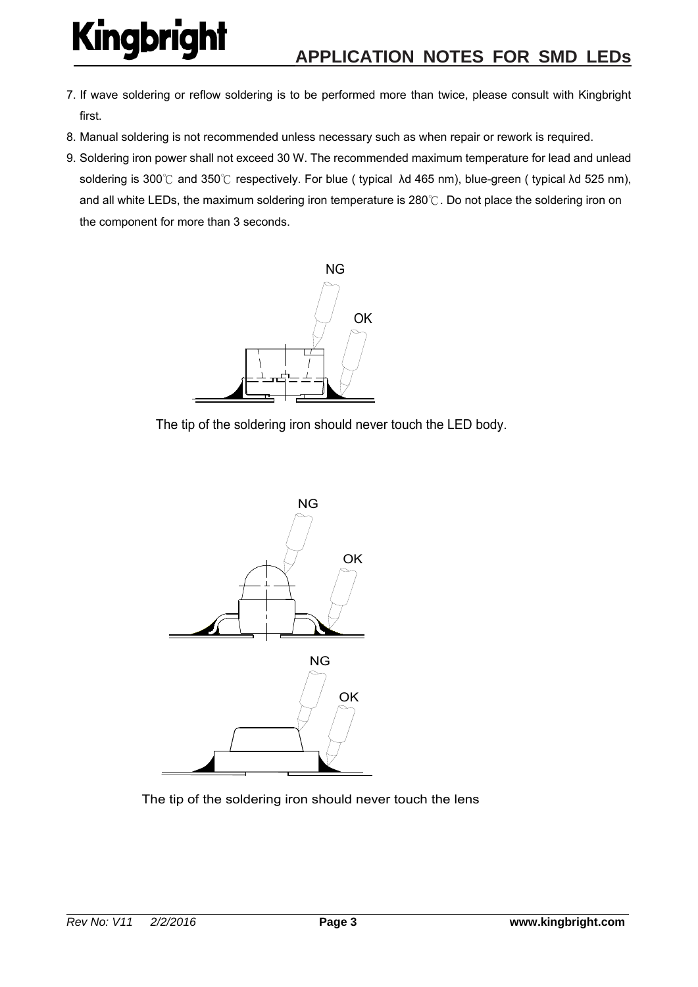- 7. If wave soldering or reflow soldering is to be performed more than twice, please consult with Kingbright first.
- 8. Manual soldering is not recommended unless necessary such as when repair or rework is required.
- 9. Soldering iron power shall not exceed 30 W. The recommended maximum temperature for lead and unlead soldering is 300℃ and 350℃ respectively. For blue ( typical λd 465 nm), blue-green ( typical λd 525 nm), and all white LEDs, the maximum soldering iron temperature is 280℃. Do not place the soldering iron on the component for more than 3 seconds.



The tip of the soldering iron should never touch the LED body.



The tip of the soldering iron should never touch the lens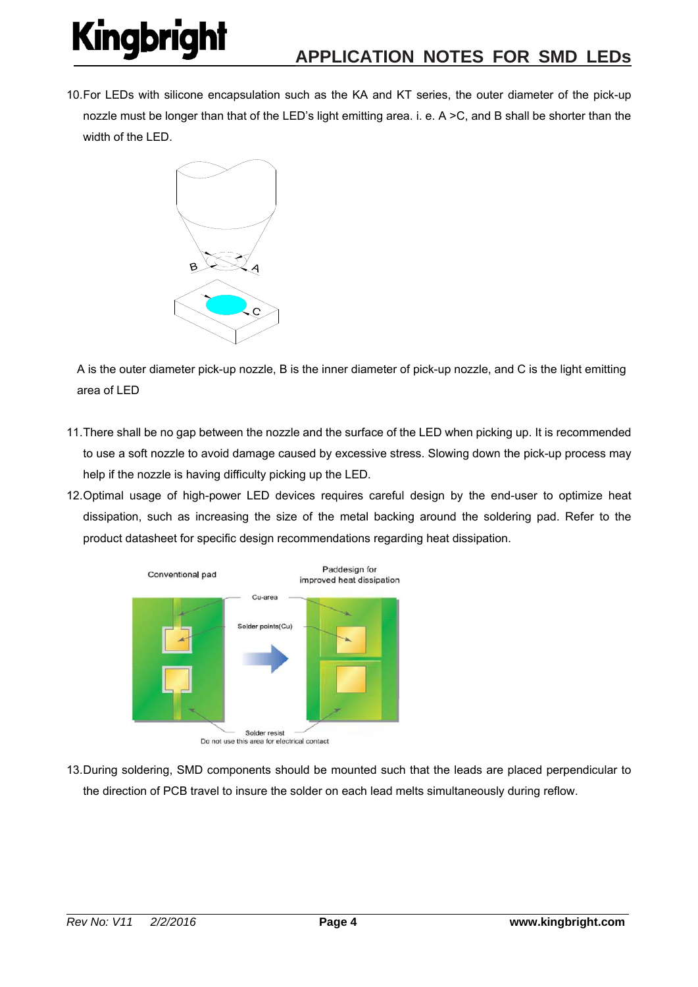10. For LEDs with silicone encapsulation such as the KA and KT series, the outer diameter of the pick-up nozzle must be longer than that of the LED's light emitting area. i. e. A >C, and B shall be shorter than the width of the LED.



A is the outer diameter pick-up nozzle, B is the inner diameter of pick-up nozzle, and C is the light emitting area of LED

- 11. There shall be no gap between the nozzle and the surface of the LED when picking up. It is recommended to use a soft nozzle to avoid damage caused by excessive stress. Slowing down the pick-up process may help if the nozzle is having difficulty picking up the LED.
- 12. Optimal usage of high-power LED devices requires careful design by the end-user to optimize heat dissipation, such as increasing the size of the metal backing around the soldering pad. Refer to the product datasheet for specific design recommendations regarding heat dissipation.



- Do not use this area for electrical contact
- 13. During soldering, SMD components should be mounted such that the leads are placed perpendicular to the direction of PCB travel to insure the solder on each lead melts simultaneously during reflow.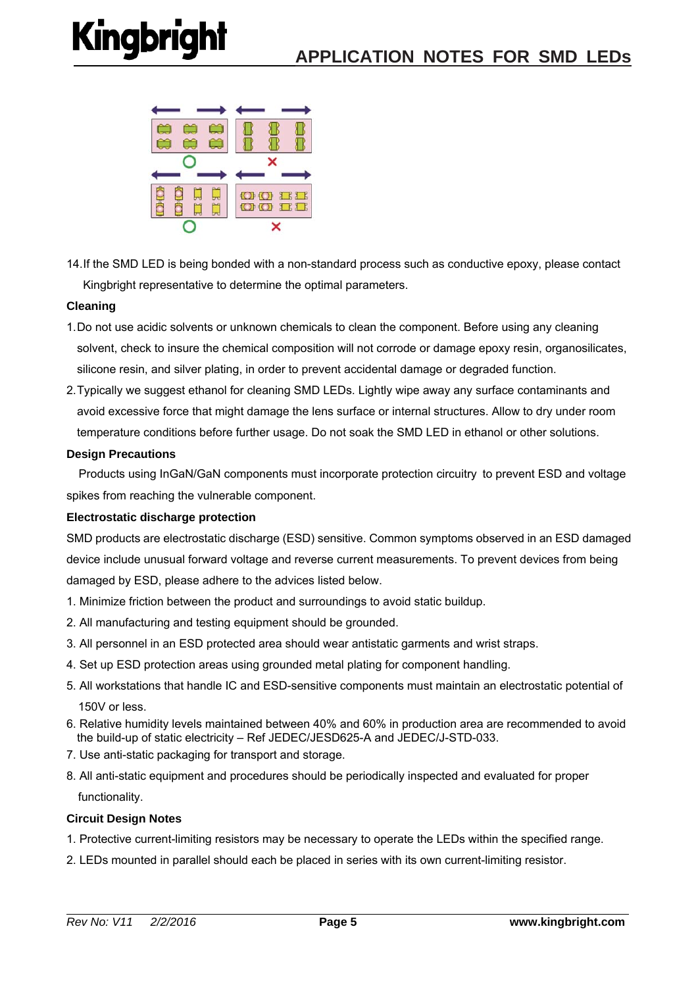

14. If the SMD LED is being bonded with a non-standard process such as conductive epoxy, please contact Kingbright representative to determine the optimal parameters.

### **Cleaning**

- 1. Do not use acidic solvents or unknown chemicals to clean the component. Before using any cleaning solvent, check to insure the chemical composition will not corrode or damage epoxy resin, organosilicates, silicone resin, and silver plating, in order to prevent accidental damage or degraded function.
- 2. Typically we suggest ethanol for cleaning SMD LEDs. Lightly wipe away any surface contaminants and avoid excessive force that might damage the lens surface or internal structures. Allow to dry under room temperature conditions before further usage. Do not soak the SMD LED in ethanol or other solutions.

#### **Design Precautions**

 Products using InGaN/GaN components must incorporate protection circuitry to prevent ESD and voltage spikes from reaching the vulnerable component.

#### **Electrostatic discharge protection**

SMD products are electrostatic discharge (ESD) sensitive. Common symptoms observed in an ESD damaged device include unusual forward voltage and reverse current measurements. To prevent devices from being damaged by ESD, please adhere to the advices listed below.

- 1. Minimize friction between the product and surroundings to avoid static buildup.
- 2. All manufacturing and testing equipment should be grounded.
- 3. All personnel in an ESD protected area should wear antistatic garments and wrist straps.
- 4. Set up ESD protection areas using grounded metal plating for component handling.
- 5. All workstations that handle IC and ESD-sensitive components must maintain an electrostatic potential of 150V or less.
- 6. Relative humidity levels maintained between 40% and 60% in production area are recommended to avoid the build-up of static electricity – Ref JEDEC/JESD625-A and JEDEC/J-STD-033.
- 7. Use anti-static packaging for transport and storage.
- 8. All anti-static equipment and procedures should be periodically inspected and evaluated for proper functionality.

#### **Circuit Design Notes**

- 1. Protective current-limiting resistors may be necessary to operate the LEDs within the specified range.
- 2. LEDs mounted in parallel should each be placed in series with its own current-limiting resistor.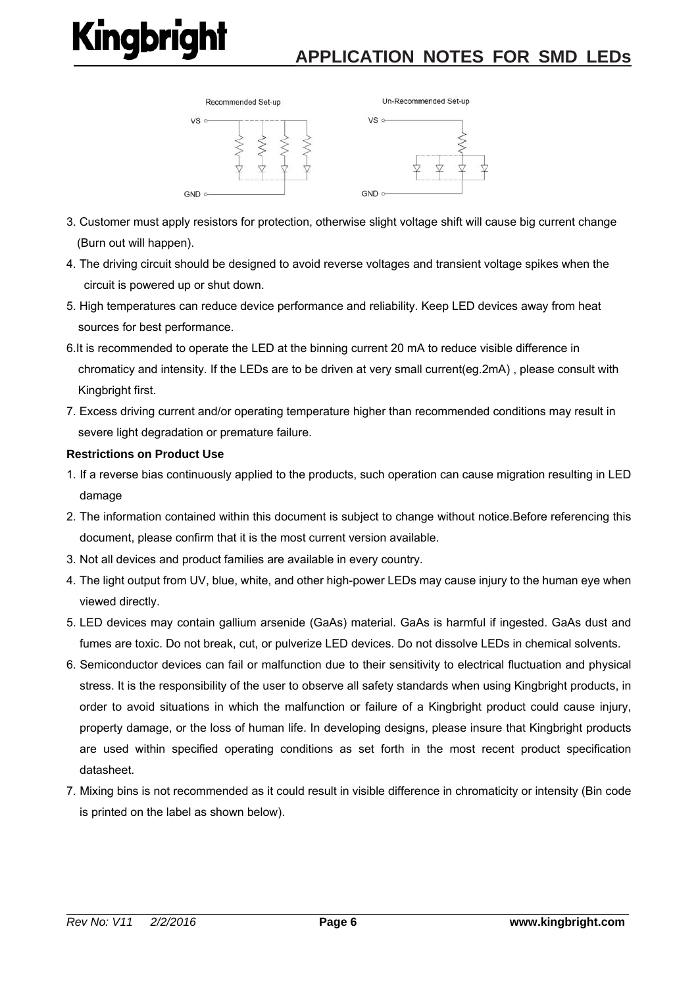

- 3. Customer must apply resistors for protection, otherwise slight voltage shift will cause big current change (Burn out will happen).
- 4. The driving circuit should be designed to avoid reverse voltages and transient voltage spikes when the circuit is powered up or shut down.
- 5. High temperatures can reduce device performance and reliability. Keep LED devices away from heat sources for best performance.
- 6.It is recommended to operate the LED at the binning current 20 mA to reduce visible difference in chromaticy and intensity. If the LEDs are to be driven at very small current(eg.2mA) , please consult with Kingbright first.
- 7. Excess driving current and/or operating temperature higher than recommended conditions may result in severe light degradation or premature failure.

### **Restrictions on Product Use**

- 1. If a reverse bias continuously applied to the products, such operation can cause migration resulting in LED damage
- 2. The information contained within this document is subject to change without notice.Before referencing this document, please confirm that it is the most current version available.
- 3. Not all devices and product families are available in every country.
- 4. The light output from UV, blue, white, and other high-power LEDs may cause injury to the human eye when viewed directly.
- 5. LED devices may contain gallium arsenide (GaAs) material. GaAs is harmful if ingested. GaAs dust and fumes are toxic. Do not break, cut, or pulverize LED devices. Do not dissolve LEDs in chemical solvents.
- 6. Semiconductor devices can fail or malfunction due to their sensitivity to electrical fluctuation and physical stress. It is the responsibility of the user to observe all safety standards when using Kingbright products, in order to avoid situations in which the malfunction or failure of a Kingbright product could cause injury, property damage, or the loss of human life. In developing designs, please insure that Kingbright products are used within specified operating conditions as set forth in the most recent product specification datasheet.
- 7. Mixing bins is not recommended as it could result in visible difference in chromaticity or intensity (Bin code is printed on the label as shown below).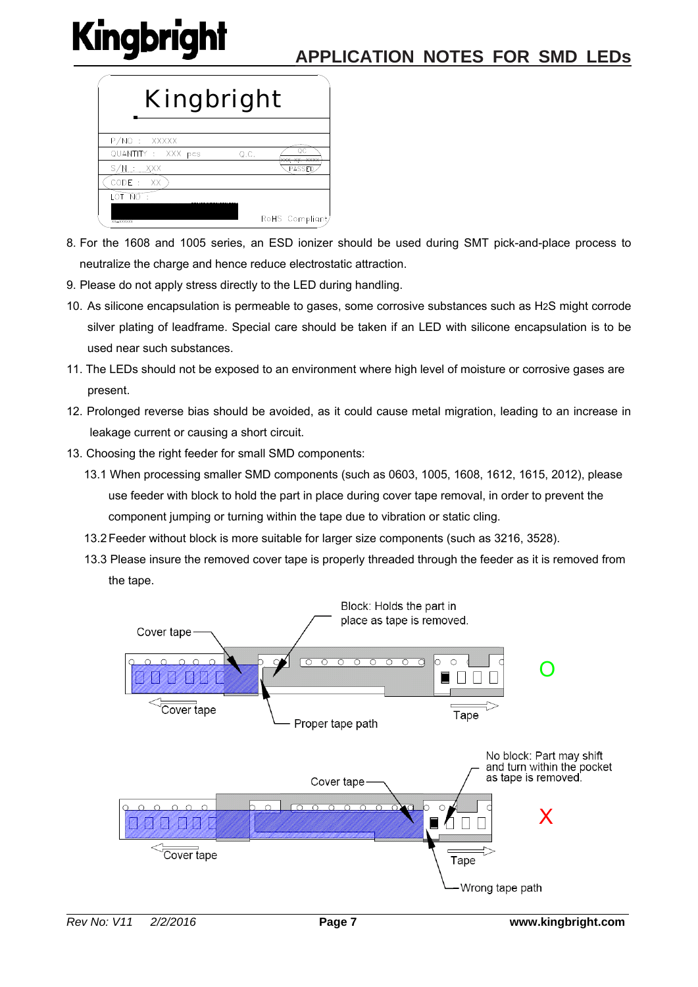

- 8. For the 1608 and 1005 series, an ESD ionizer should be used during SMT pick-and-place process to neutralize the charge and hence reduce electrostatic attraction.
- 9. Please do not apply stress directly to the LED during handling.
- 10. As silicone encapsulation is permeable to gases, some corrosive substances such as H2S might corrode silver plating of leadframe. Special care should be taken if an LED with silicone encapsulation is to be used near such substances.
- 11. The LEDs should not be exposed to an environment where high level of moisture or corrosive gases are present.
- 12. Prolonged reverse bias should be avoided, as it could cause metal migration, leading to an increase in leakage current or causing a short circuit.
- 13. Choosing the right feeder for small SMD components:
	- 13.1 When processing smaller SMD components (such as 0603, 1005, 1608, 1612, 1615, 2012), please use feeder with block to hold the part in place during cover tape removal, in order to prevent the component jumping or turning within the tape due to vibration or static cling.
	- 13.2 Feeder without block is more suitable for larger size components (such as 3216, 3528).
	- 13.3 Please insure the removed cover tape is properly threaded through the feeder as it is removed from the tape.